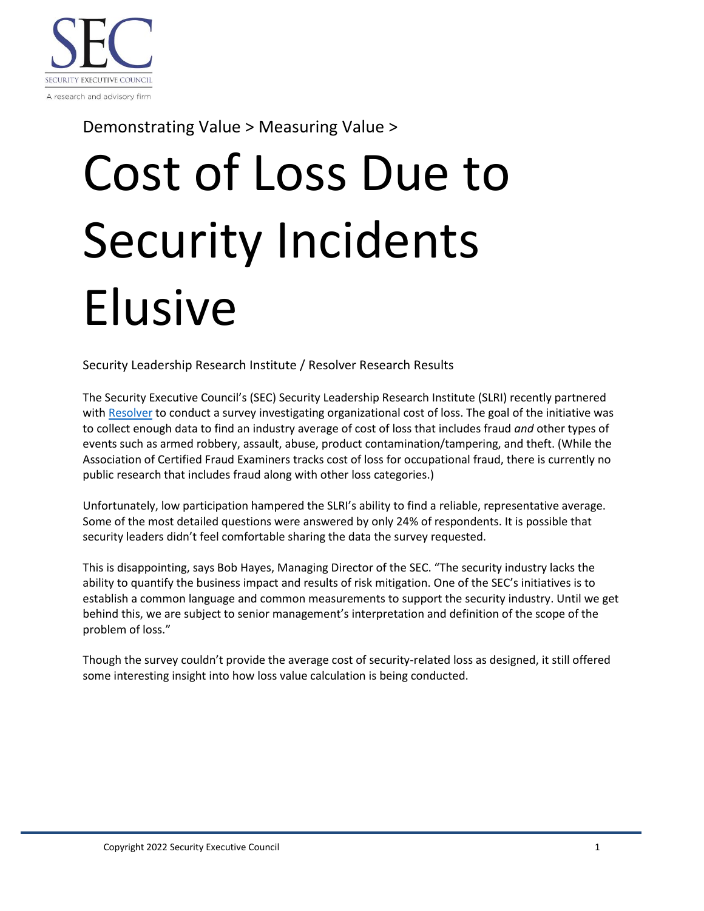

Demonstrating Value > Measuring Value >

## Cost of Loss Due to Security Incidents Elusive

Security Leadership Research Institute / Resolver Research Results

The Security Executive Council's (SEC) Security Leadership Research Institute (SLRI) recently partnered with [Resolver](https://www.resolver.com/) to conduct a survey investigating organizational cost of loss. The goal of the initiative was to collect enough data to find an industry average of cost of loss that includes fraud *and* other types of events such as armed robbery, assault, abuse, product contamination/tampering, and theft. (While the Association of Certified Fraud Examiners tracks cost of loss for occupational fraud, there is currently no public research that includes fraud along with other loss categories.)

Unfortunately, low participation hampered the SLRI's ability to find a reliable, representative average. Some of the most detailed questions were answered by only 24% of respondents. It is possible that security leaders didn't feel comfortable sharing the data the survey requested.

This is disappointing, says Bob Hayes, Managing Director of the SEC. "The security industry lacks the ability to quantify the business impact and results of risk mitigation. One of the SEC's initiatives is to establish a common language and common measurements to support the security industry. Until we get behind this, we are subject to senior management's interpretation and definition of the scope of the problem of loss."

Though the survey couldn't provide the average cost of security-related loss as designed, it still offered some interesting insight into how loss value calculation is being conducted.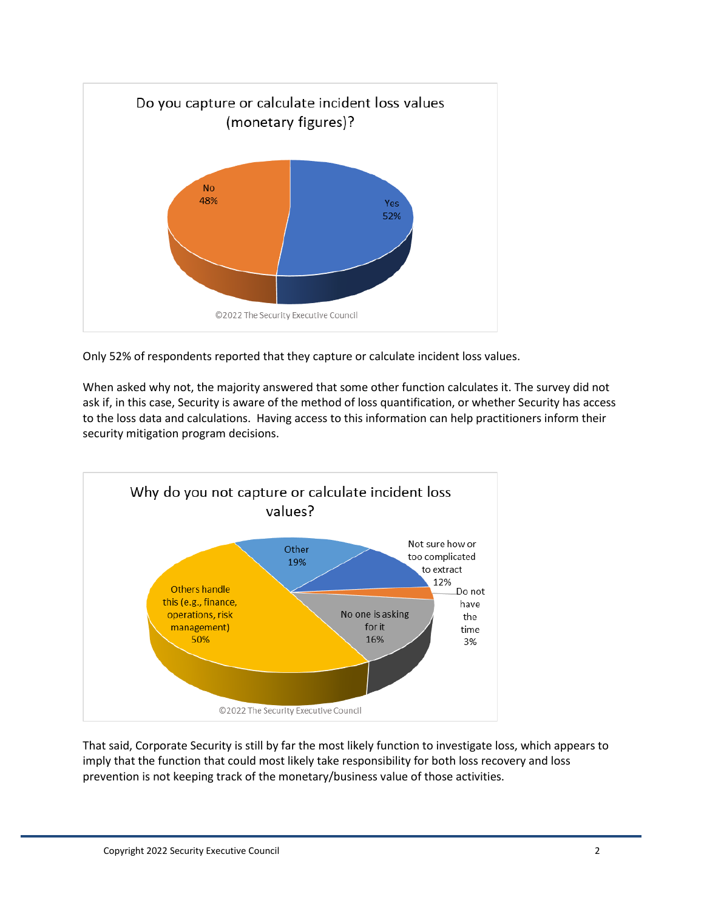

Only 52% of respondents reported that they capture or calculate incident loss values.

When asked why not, the majority answered that some other function calculates it. The survey did not ask if, in this case, Security is aware of the method of loss quantification, or whether Security has access to the loss data and calculations. Having access to this information can help practitioners inform their security mitigation program decisions.



That said, Corporate Security is still by far the most likely function to investigate loss, which appears to imply that the function that could most likely take responsibility for both loss recovery and loss prevention is not keeping track of the monetary/business value of those activities.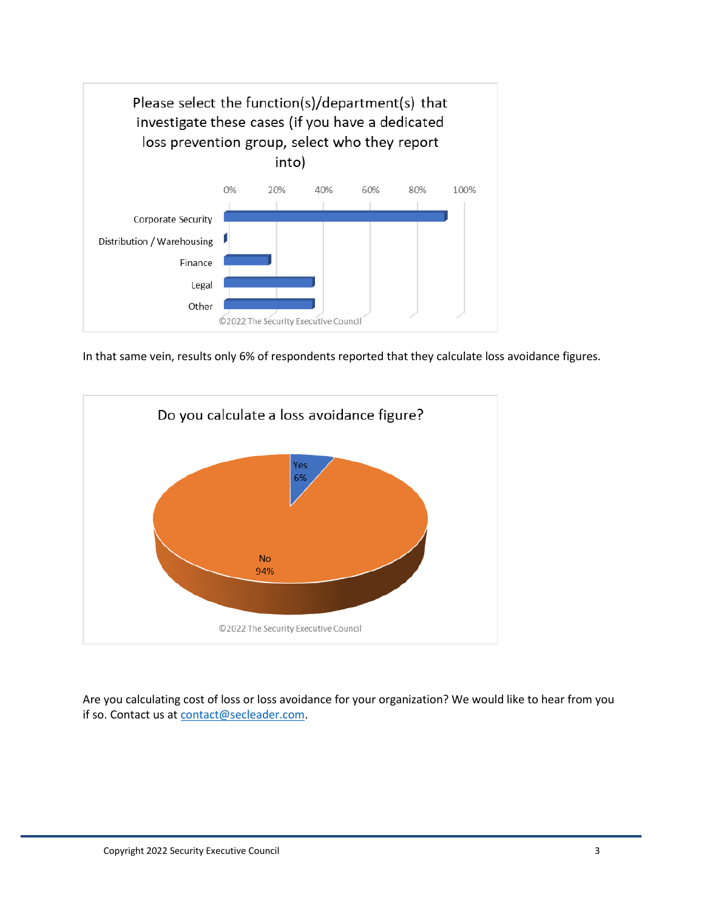

In that same vein, results only 6% of respondents reported that they calculate loss avoidance figures.



Are you calculating cost of loss or loss avoidance for your organization? We would like to hear from you if so. Contact us at [contact@secleader.com.](mailto:contact@secleader.com)